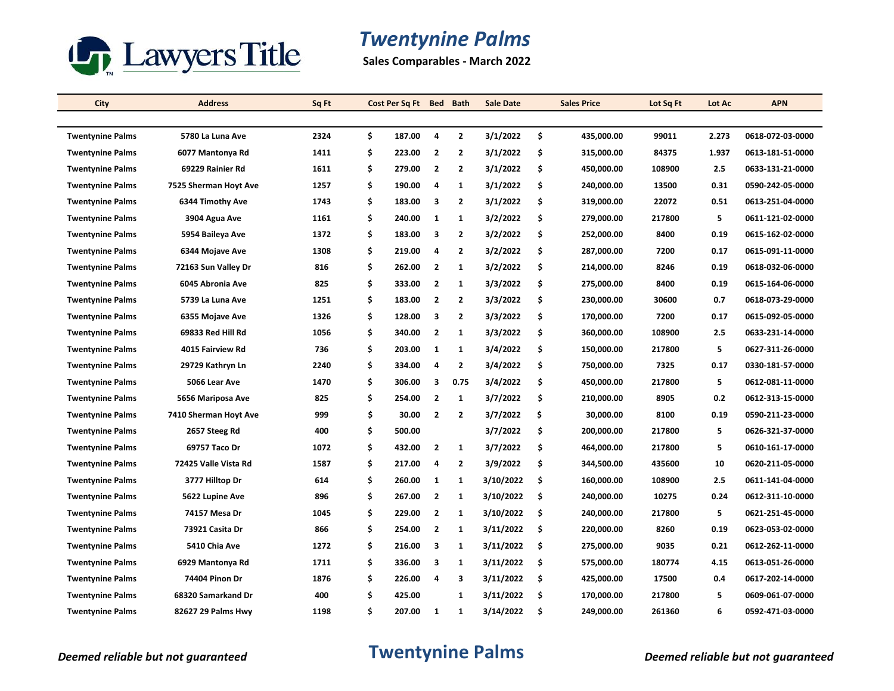

# *Twentynine Palms*

**Sales Comparables - March 2022**

| City                    | <b>Address</b>        | Sq Ft | Cost Per Sq Ft Bed |                         | <b>Bath</b>    | <b>Sale Date</b> | <b>Sales Price</b> | Lot Sq Ft | Lot Ac | <b>APN</b>       |
|-------------------------|-----------------------|-------|--------------------|-------------------------|----------------|------------------|--------------------|-----------|--------|------------------|
|                         |                       |       |                    |                         |                |                  |                    |           |        |                  |
| <b>Twentynine Palms</b> | 5780 La Luna Ave      | 2324  | \$<br>187.00       | 4                       | $\overline{2}$ | 3/1/2022         | \$<br>435,000.00   | 99011     | 2.273  | 0618-072-03-0000 |
| <b>Twentynine Palms</b> | 6077 Mantonya Rd      | 1411  | \$<br>223.00       | $\overline{\mathbf{2}}$ | $\mathbf{2}$   | 3/1/2022         | \$<br>315,000.00   | 84375     | 1.937  | 0613-181-51-0000 |
| <b>Twentynine Palms</b> | 69229 Rainier Rd      | 1611  | \$<br>279.00       | $\overline{2}$          | $\overline{2}$ | 3/1/2022         | \$<br>450,000.00   | 108900    | 2.5    | 0633-131-21-0000 |
| <b>Twentynine Palms</b> | 7525 Sherman Hoyt Ave | 1257  | \$<br>190.00       | 4                       | 1              | 3/1/2022         | \$<br>240,000.00   | 13500     | 0.31   | 0590-242-05-0000 |
| <b>Twentynine Palms</b> | 6344 Timothy Ave      | 1743  | \$<br>183.00       | 3                       | $\mathbf{2}$   | 3/1/2022         | \$<br>319,000.00   | 22072     | 0.51   | 0613-251-04-0000 |
| <b>Twentynine Palms</b> | 3904 Agua Ave         | 1161  | \$<br>240.00       | 1                       | $\mathbf{1}$   | 3/2/2022         | \$<br>279,000.00   | 217800    | 5      | 0611-121-02-0000 |
| <b>Twentynine Palms</b> | 5954 Baileya Ave      | 1372  | \$<br>183.00       | 3                       | $\overline{2}$ | 3/2/2022         | \$<br>252,000.00   | 8400      | 0.19   | 0615-162-02-0000 |
| <b>Twentynine Palms</b> | 6344 Mojave Ave       | 1308  | \$<br>219.00       | 4                       | $\mathbf{2}$   | 3/2/2022         | \$<br>287,000.00   | 7200      | 0.17   | 0615-091-11-0000 |
| <b>Twentynine Palms</b> | 72163 Sun Valley Dr   | 816   | \$<br>262.00       | $\overline{2}$          | $\mathbf{1}$   | 3/2/2022         | \$<br>214,000.00   | 8246      | 0.19   | 0618-032-06-0000 |
| <b>Twentynine Palms</b> | 6045 Abronia Ave      | 825   | \$<br>333.00       | $\overline{2}$          | $\mathbf{1}$   | 3/3/2022         | \$<br>275,000.00   | 8400      | 0.19   | 0615-164-06-0000 |
| <b>Twentynine Palms</b> | 5739 La Luna Ave      | 1251  | \$<br>183.00       | $\overline{2}$          | $\mathbf{2}$   | 3/3/2022         | \$<br>230,000.00   | 30600     | 0.7    | 0618-073-29-0000 |
| <b>Twentynine Palms</b> | 6355 Mojave Ave       | 1326  | \$<br>128.00       | 3                       | $\overline{2}$ | 3/3/2022         | \$<br>170,000.00   | 7200      | 0.17   | 0615-092-05-0000 |
| <b>Twentynine Palms</b> | 69833 Red Hill Rd     | 1056  | \$<br>340.00       | $\overline{2}$          | 1              | 3/3/2022         | \$<br>360,000.00   | 108900    | 2.5    | 0633-231-14-0000 |
| <b>Twentynine Palms</b> | 4015 Fairview Rd      | 736   | \$<br>203.00       | 1                       | 1              | 3/4/2022         | \$<br>150,000.00   | 217800    | 5      | 0627-311-26-0000 |
| <b>Twentynine Palms</b> | 29729 Kathryn Ln      | 2240  | \$<br>334.00       | 4                       | $\mathbf{2}$   | 3/4/2022         | \$<br>750,000.00   | 7325      | 0.17   | 0330-181-57-0000 |
| <b>Twentynine Palms</b> | 5066 Lear Ave         | 1470  | \$<br>306.00       | 3                       | 0.75           | 3/4/2022         | \$<br>450,000.00   | 217800    | 5      | 0612-081-11-0000 |
| <b>Twentynine Palms</b> | 5656 Mariposa Ave     | 825   | \$<br>254.00       | $\overline{\mathbf{2}}$ | $\mathbf{1}$   | 3/7/2022         | \$<br>210,000.00   | 8905      | 0.2    | 0612-313-15-0000 |
| <b>Twentynine Palms</b> | 7410 Sherman Hoyt Ave | 999   | \$<br>30.00        | $\overline{2}$          | $\overline{2}$ | 3/7/2022         | \$<br>30,000.00    | 8100      | 0.19   | 0590-211-23-0000 |
| <b>Twentynine Palms</b> | 2657 Steeg Rd         | 400   | \$<br>500.00       |                         |                | 3/7/2022         | \$<br>200,000.00   | 217800    | 5      | 0626-321-37-0000 |
| <b>Twentynine Palms</b> | 69757 Taco Dr         | 1072  | \$<br>432.00       | $\overline{\mathbf{2}}$ | $\mathbf{1}$   | 3/7/2022         | \$<br>464,000.00   | 217800    | 5      | 0610-161-17-0000 |
| <b>Twentynine Palms</b> | 72425 Valle Vista Rd  | 1587  | \$<br>217.00       | 4                       | $\overline{2}$ | 3/9/2022         | \$<br>344,500.00   | 435600    | 10     | 0620-211-05-0000 |
| <b>Twentynine Palms</b> | 3777 Hilltop Dr       | 614   | \$<br>260.00       | 1                       | 1              | 3/10/2022        | \$<br>160,000.00   | 108900    | 2.5    | 0611-141-04-0000 |
| <b>Twentynine Palms</b> | 5622 Lupine Ave       | 896   | \$<br>267.00       | $\overline{\mathbf{2}}$ | 1              | 3/10/2022        | \$<br>240,000.00   | 10275     | 0.24   | 0612-311-10-0000 |
| <b>Twentynine Palms</b> | 74157 Mesa Dr         | 1045  | \$<br>229.00       | $\overline{2}$          | 1              | 3/10/2022        | \$<br>240,000.00   | 217800    | 5      | 0621-251-45-0000 |
| <b>Twentynine Palms</b> | 73921 Casita Dr       | 866   | \$<br>254.00       | $\overline{2}$          | 1              | 3/11/2022        | \$<br>220,000.00   | 8260      | 0.19   | 0623-053-02-0000 |
| <b>Twentynine Palms</b> | 5410 Chia Ave         | 1272  | \$<br>216.00       | 3                       | $\mathbf{1}$   | 3/11/2022        | \$<br>275,000.00   | 9035      | 0.21   | 0612-262-11-0000 |
| <b>Twentynine Palms</b> | 6929 Mantonya Rd      | 1711  | \$<br>336.00       | 3                       | 1              | 3/11/2022        | \$<br>575,000.00   | 180774    | 4.15   | 0613-051-26-0000 |
| <b>Twentynine Palms</b> | <b>74404 Pinon Dr</b> | 1876  | \$<br>226.00       | 4                       | 3              | 3/11/2022        | \$<br>425,000.00   | 17500     | 0.4    | 0617-202-14-0000 |
| <b>Twentynine Palms</b> | 68320 Samarkand Dr    | 400   | \$<br>425.00       |                         | $\mathbf{1}$   | 3/11/2022        | \$<br>170,000.00   | 217800    | 5      | 0609-061-07-0000 |
| <b>Twentynine Palms</b> | 82627 29 Palms Hwy    | 1198  | \$<br>207.00       | 1                       | 1              | 3/14/2022        | \$<br>249,000.00   | 261360    | 6      | 0592-471-03-0000 |

## *Deemed reliable but not guaranteed* **Twentynine Palms** *Deemed reliable but not guaranteed*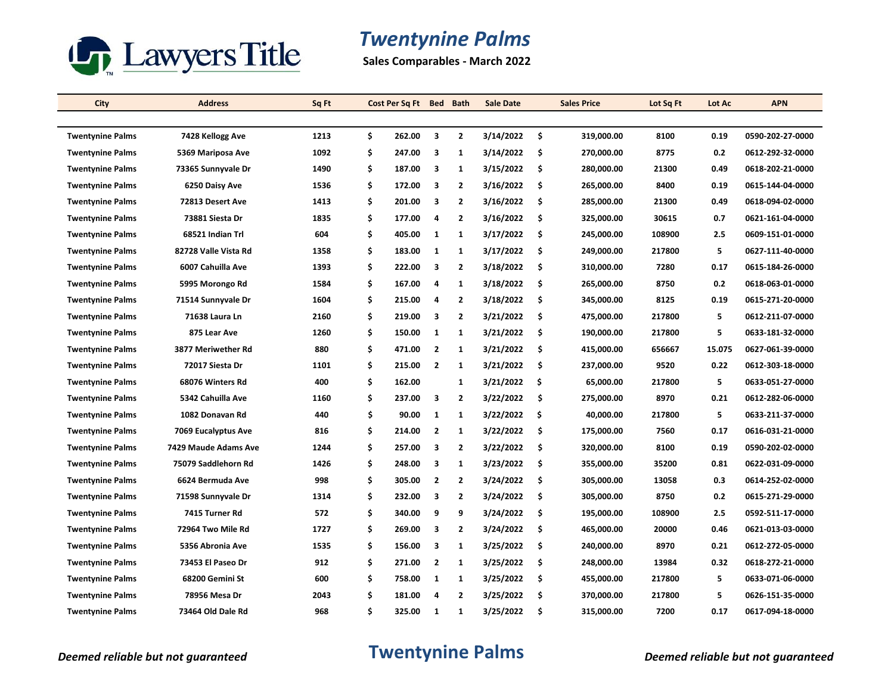

# *Twentynine Palms*

**Sales Comparables - March 2022**

| City                    | <b>Address</b>       | Sq Ft |    | Cost Per Sq Ft Bed |                | <b>Bath</b>    | <b>Sale Date</b> |     | <b>Sales Price</b> | Lot Sq Ft | Lot Ac | <b>APN</b>       |
|-------------------------|----------------------|-------|----|--------------------|----------------|----------------|------------------|-----|--------------------|-----------|--------|------------------|
|                         |                      |       |    |                    |                |                |                  |     |                    |           |        |                  |
| <b>Twentynine Palms</b> | 7428 Kellogg Ave     | 1213  | \$ | 262.00             | 3              | $\overline{2}$ | 3/14/2022        | -\$ | 319,000.00         | 8100      | 0.19   | 0590-202-27-0000 |
| <b>Twentynine Palms</b> | 5369 Mariposa Ave    | 1092  | \$ | 247.00             | 3              | $\mathbf{1}$   | 3/14/2022        | \$  | 270,000.00         | 8775      | 0.2    | 0612-292-32-0000 |
| <b>Twentynine Palms</b> | 73365 Sunnyvale Dr   | 1490  | \$ | 187.00             | 3              | $\mathbf{1}$   | 3/15/2022        | \$  | 280,000.00         | 21300     | 0.49   | 0618-202-21-0000 |
| <b>Twentynine Palms</b> | 6250 Daisy Ave       | 1536  | \$ | 172.00             | 3              | $\overline{2}$ | 3/16/2022        | \$  | 265,000.00         | 8400      | 0.19   | 0615-144-04-0000 |
| <b>Twentynine Palms</b> | 72813 Desert Ave     | 1413  | \$ | 201.00             | 3              | $\mathbf{2}$   | 3/16/2022        | \$  | 285,000.00         | 21300     | 0.49   | 0618-094-02-0000 |
| <b>Twentynine Palms</b> | 73881 Siesta Dr      | 1835  | \$ | 177.00             | 4              | $\mathbf{2}$   | 3/16/2022        | \$  | 325,000.00         | 30615     | 0.7    | 0621-161-04-0000 |
| <b>Twentynine Palms</b> | 68521 Indian Trl     | 604   | \$ | 405.00             | $\mathbf{1}$   | 1              | 3/17/2022        | \$  | 245,000.00         | 108900    | 2.5    | 0609-151-01-0000 |
| <b>Twentynine Palms</b> | 82728 Valle Vista Rd | 1358  | \$ | 183.00             | $\mathbf{1}$   | 1              | 3/17/2022        | \$  | 249,000.00         | 217800    | 5      | 0627-111-40-0000 |
| <b>Twentynine Palms</b> | 6007 Cahuilla Ave    | 1393  | \$ | 222.00             | 3              | $\mathbf{2}$   | 3/18/2022        | \$  | 310,000.00         | 7280      | 0.17   | 0615-184-26-0000 |
| <b>Twentynine Palms</b> | 5995 Morongo Rd      | 1584  | \$ | 167.00             | 4              | 1              | 3/18/2022        | \$  | 265,000.00         | 8750      | 0.2    | 0618-063-01-0000 |
| <b>Twentynine Palms</b> | 71514 Sunnyvale Dr   | 1604  | \$ | 215.00             | 4              | $\overline{2}$ | 3/18/2022        | \$  | 345,000.00         | 8125      | 0.19   | 0615-271-20-0000 |
| <b>Twentynine Palms</b> | 71638 Laura Ln       | 2160  | \$ | 219.00             | 3              | $\mathbf{2}$   | 3/21/2022        | \$  | 475,000.00         | 217800    | 5      | 0612-211-07-0000 |
| <b>Twentynine Palms</b> | 875 Lear Ave         | 1260  | \$ | 150.00             | 1              | 1              | 3/21/2022        | \$  | 190,000.00         | 217800    | 5      | 0633-181-32-0000 |
| <b>Twentynine Palms</b> | 3877 Meriwether Rd   | 880   | \$ | 471.00             | $\overline{2}$ | $\mathbf{1}$   | 3/21/2022        | \$  | 415,000.00         | 656667    | 15.075 | 0627-061-39-0000 |
| <b>Twentynine Palms</b> | 72017 Siesta Dr      | 1101  | \$ | 215.00             | $\overline{2}$ | 1              | 3/21/2022        | \$  | 237,000.00         | 9520      | 0.22   | 0612-303-18-0000 |
| <b>Twentynine Palms</b> | 68076 Winters Rd     | 400   | \$ | 162.00             |                | $\mathbf{1}$   | 3/21/2022        | \$  | 65,000.00          | 217800    | 5      | 0633-051-27-0000 |
| <b>Twentynine Palms</b> | 5342 Cahuilla Ave    | 1160  | \$ | 237.00             | 3              | $\overline{2}$ | 3/22/2022        | \$  | 275,000.00         | 8970      | 0.21   | 0612-282-06-0000 |
| <b>Twentynine Palms</b> | 1082 Donavan Rd      | 440   | \$ | 90.00              | $\mathbf{1}$   | 1              | 3/22/2022        | \$  | 40,000.00          | 217800    | 5      | 0633-211-37-0000 |
| <b>Twentynine Palms</b> | 7069 Eucalyptus Ave  | 816   | \$ | 214.00             | $\overline{2}$ | 1              | 3/22/2022        | \$  | 175,000.00         | 7560      | 0.17   | 0616-031-21-0000 |
| <b>Twentynine Palms</b> | 7429 Maude Adams Ave | 1244  | \$ | 257.00             | 3              | $\overline{2}$ | 3/22/2022        | \$  | 320,000.00         | 8100      | 0.19   | 0590-202-02-0000 |
| <b>Twentynine Palms</b> | 75079 Saddlehorn Rd  | 1426  | \$ | 248.00             | 3              | 1              | 3/23/2022        | \$  | 355,000.00         | 35200     | 0.81   | 0622-031-09-0000 |
| <b>Twentynine Palms</b> | 6624 Bermuda Ave     | 998   | \$ | 305.00             | $\overline{2}$ | $\overline{2}$ | 3/24/2022        | \$  | 305,000.00         | 13058     | 0.3    | 0614-252-02-0000 |
| <b>Twentynine Palms</b> | 71598 Sunnyvale Dr   | 1314  | \$ | 232.00             | 3              | $\mathbf{2}$   | 3/24/2022        | \$  | 305,000.00         | 8750      | 0.2    | 0615-271-29-0000 |
| <b>Twentynine Palms</b> | 7415 Turner Rd       | 572   | \$ | 340.00             | 9              | 9              | 3/24/2022        | \$  | 195,000.00         | 108900    | 2.5    | 0592-511-17-0000 |
| <b>Twentynine Palms</b> | 72964 Two Mile Rd    | 1727  | \$ | 269.00             | 3              | $\overline{2}$ | 3/24/2022        | \$  | 465,000.00         | 20000     | 0.46   | 0621-013-03-0000 |
| <b>Twentynine Palms</b> | 5356 Abronia Ave     | 1535  | \$ | 156.00             | 3              | $\mathbf{1}$   | 3/25/2022        | \$  | 240,000.00         | 8970      | 0.21   | 0612-272-05-0000 |
| <b>Twentynine Palms</b> | 73453 El Paseo Dr    | 912   | \$ | 271.00             | $\overline{2}$ | 1              | 3/25/2022        | \$  | 248,000.00         | 13984     | 0.32   | 0618-272-21-0000 |
| <b>Twentynine Palms</b> | 68200 Gemini St      | 600   | \$ | 758.00             | $\mathbf{1}$   | $\mathbf{1}$   | 3/25/2022        | \$  | 455,000.00         | 217800    | 5      | 0633-071-06-0000 |
| <b>Twentynine Palms</b> | 78956 Mesa Dr        | 2043  | \$ | 181.00             | 4              | $\overline{2}$ | 3/25/2022        | \$  | 370,000.00         | 217800    | 5      | 0626-151-35-0000 |
| <b>Twentynine Palms</b> | 73464 Old Dale Rd    | 968   | Ś  | 325.00             | $\mathbf{1}$   | 1              | 3/25/2022        | \$  | 315,000.00         | 7200      | 0.17   | 0617-094-18-0000 |

## *Deemed reliable but not guaranteed* **Twentynine Palms** *Deemed reliable but not guaranteed*